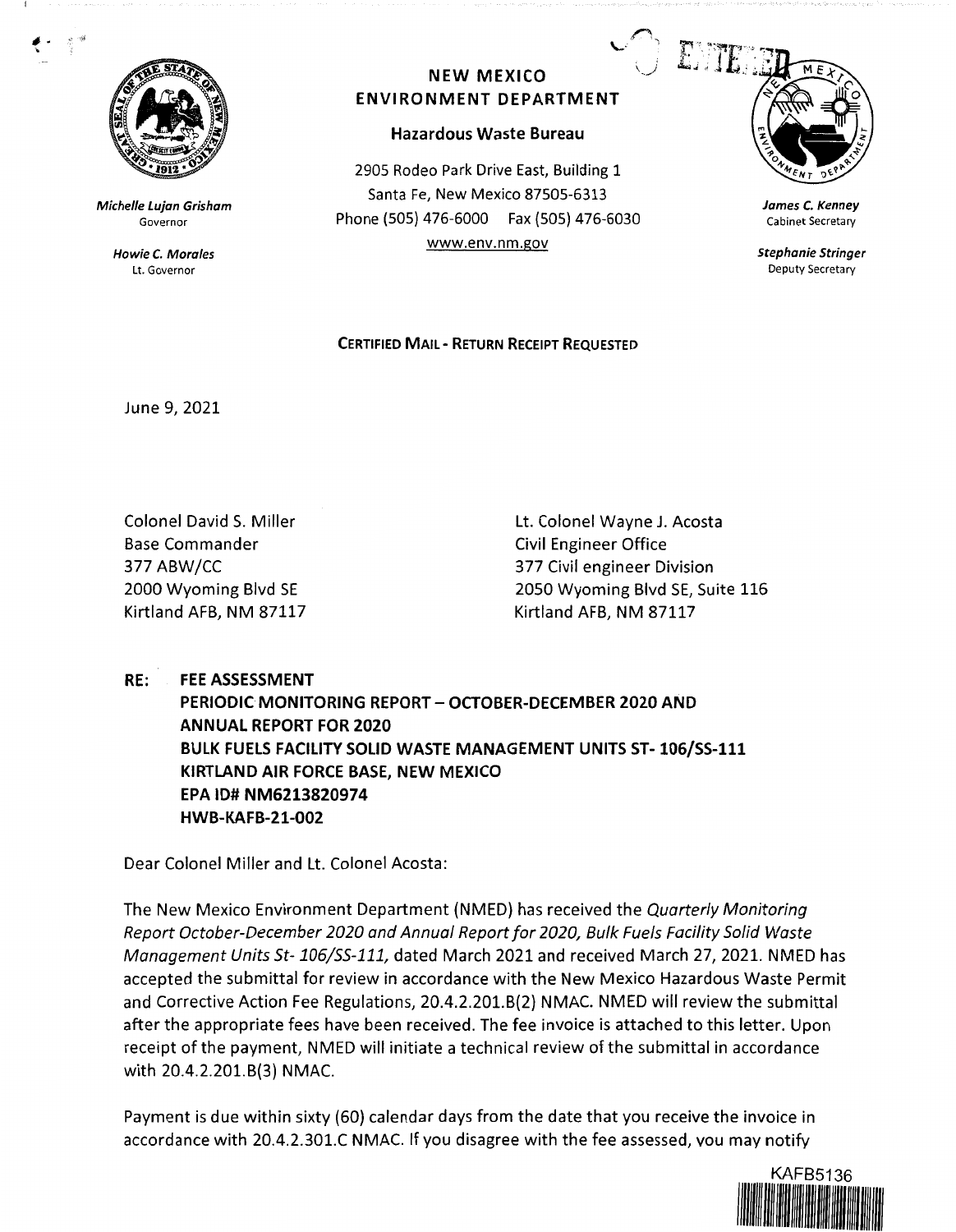

**Michelle Lujan Grisham**  Governor

> **Howie C. Morales**  Lt. Governor

## **NEW MEXICO ENVIRONMENT DEPARTMENT**

## **Hazardous Waste Bureau**

2905 Rodeo Park Drive East, Building 1 Santa Fe, New Mexico 87505-6313 Phone (SOS) 476-6000 Fax (SOS) 476-6030 www.env.nm.gov



**James** *C.* **Kenney**  Cabinet Secretary

**Stephanie Stringer**  Deputy Secretary

## **CERTIFIED MAIL** - **RETURN RECEIPT REQUESTED**

June 9, 2021

Colonel David S. Miller Base Commander 377 ABW/CC 2000 Wyoming Blvd SE Kirtland AFB, NM 87117 Lt. Colonel Wayne J. Acosta Civil Engineer Office 377 Civil engineer Division 2050 Wyoming Blvd SE, Suite 116 Kirtland AFB, NM 87117

**RE: FEE ASSESSMENT PERIODIC MONITORING REPORT- OCTOBER-DECEMBER 2020 AND ANNUAL REPORT FOR 2020 BULK FUELS FACILITY SOLID WASTE MANAGEMENT UNITS ST-106/SS-111 KIRTLAND AIR FORCE BASE, NEW MEXICO EPA** ID# **NM6213820974 HWB-KAFB-21-002** 

Dear Colonel Miller and Lt. Colonel Acosta:

The New Mexico Environment Department (NMED) has received the Quarterly Monitoring Report October-December 2020 and Annual Report for 2020, Bulk Fuels Facility Solid Waste Management Units St-106/55-111, dated March 2021 and received March 27, 2021. NMED has accepted the submittal for review in accordance with the New Mexico Hazardous Waste Permit and Corrective Action Fee Regulations, 20.4.2.201.8(2) NMAC. NMED will review the submittal after the appropriate fees have been received. The fee invoice is attached to this letter. Upon receipt of the payment, NMED will initiate a technical review of the submittal in accordance with 20.4.2.201.B(3) NMAC.

Payment is due within sixty (60) calendar days from the date that you receive the invoice in accordance with 20.4.2.301.C NMAC. If you disagree with the fee assessed, vou may notify

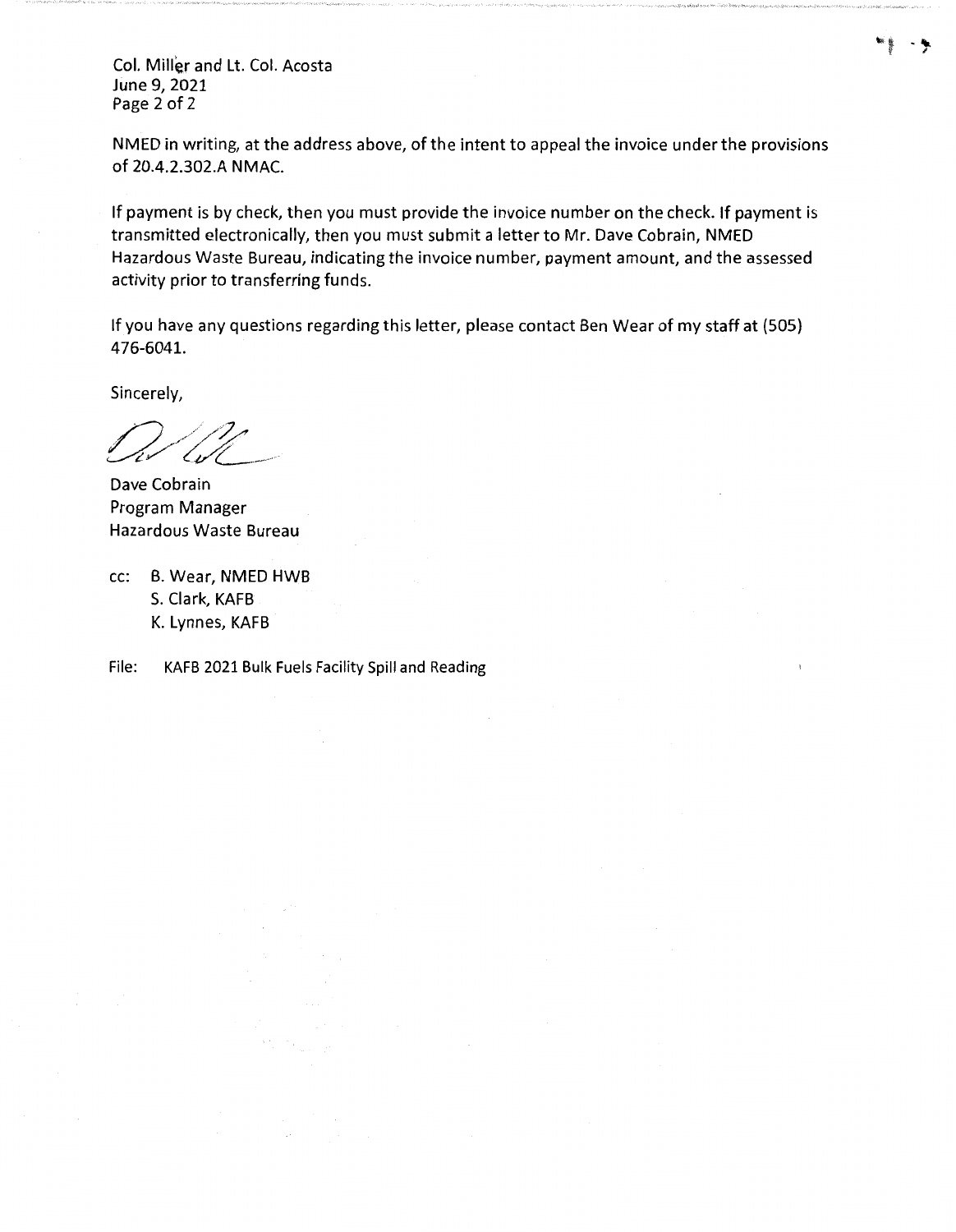Col. Miller and Lt. Col. Acosta June 9, 2021 Page 2 of 2

NMED in writing, at the address above, of the intent to appeal the invoice under the provisions of 20.4.2.302.A NMAC.

If payment is by check, then you must provide the invoice number on the check. If payment is transmitted electronically, then you must submit a letter to Mr. Dave Cobrain, NMED Hazardous Waste Bureau, indicating the invoice number, payment amount, and the assessed activity prior to transferring funds.

If you have any questions regarding this letter, please contact Ben Wear of my staff at (505) 476-6041.

Sincerely,

Dave Cobrain Program Manager Hazardous Waste Bureau

cc: B. Wear, NMED HWB S. Clark, KAFB K. Lynnes, KAFB

File: KAFB 2021 Bulk Fuels Facility Spill and Reading